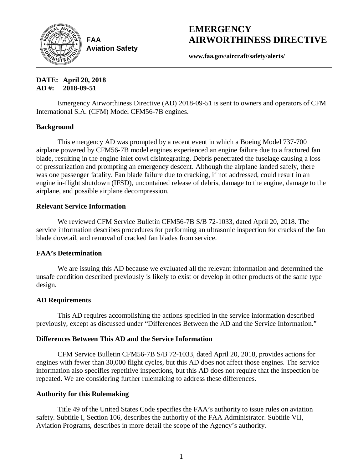

**FAA Aviation Safety**

# **EMERGENCY AIRWORTHINESS DIRECTIVE**

**www.faa.gov/aircraft/safety/alerts/**

**DATE: April 20, 2018 AD #: 2018-09-51**

Emergency Airworthiness Directive (AD) 2018-09-51 is sent to owners and operators of CFM International S.A. (CFM) Model CFM56-7B engines.

# **Background**

This emergency AD was prompted by a recent event in which a Boeing Model 737-700 airplane powered by CFM56-7B model engines experienced an engine failure due to a fractured fan blade, resulting in the engine inlet cowl disintegrating. Debris penetrated the fuselage causing a loss of pressurization and prompting an emergency descent. Although the airplane landed safely, there was one passenger fatality. Fan blade failure due to cracking, if not addressed, could result in an engine in-flight shutdown (IFSD), uncontained release of debris, damage to the engine, damage to the airplane, and possible airplane decompression.

## **Relevant Service Information**

We reviewed CFM Service Bulletin CFM56-7B S/B 72-1033, dated April 20, 2018. The service information describes procedures for performing an ultrasonic inspection for cracks of the fan blade dovetail, and removal of cracked fan blades from service.

# **FAA's Determination**

We are issuing this AD because we evaluated all the relevant information and determined the unsafe condition described previously is likely to exist or develop in other products of the same type design.

# **AD Requirements**

This AD requires accomplishing the actions specified in the service information described previously, except as discussed under "Differences Between the AD and the Service Information."

## **Differences Between This AD and the Service Information**

CFM Service Bulletin CFM56-7B S/B 72-1033, dated April 20, 2018, provides actions for engines with fewer than 30,000 flight cycles, but this AD does not affect those engines. The service information also specifies repetitive inspections, but this AD does not require that the inspection be repeated. We are considering further rulemaking to address these differences.

## **Authority for this Rulemaking**

Title 49 of the United States Code specifies the FAA's authority to issue rules on aviation safety. Subtitle I, Section 106, describes the authority of the FAA Administrator. Subtitle VII, Aviation Programs, describes in more detail the scope of the Agency's authority.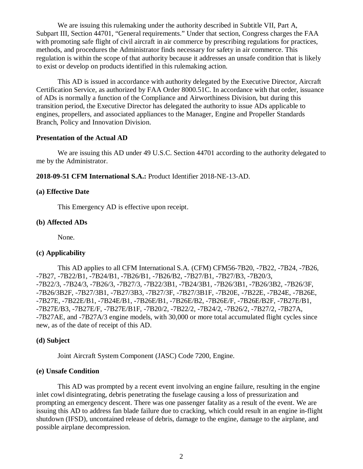We are issuing this rulemaking under the authority described in Subtitle VII, Part A, Subpart III, Section 44701, "General requirements." Under that section, Congress charges the FAA with promoting safe flight of civil aircraft in air commerce by prescribing regulations for practices, methods, and procedures the Administrator finds necessary for safety in air commerce. This regulation is within the scope of that authority because it addresses an unsafe condition that is likely to exist or develop on products identified in this rulemaking action.

This AD is issued in accordance with authority delegated by the Executive Director, Aircraft Certification Service, as authorized by FAA Order 8000.51C. In accordance with that order, issuance of ADs is normally a function of the Compliance and Airworthiness Division, but during this transition period, the Executive Director has delegated the authority to issue ADs applicable to engines, propellers, and associated appliances to the Manager, Engine and Propeller Standards Branch, Policy and Innovation Division.

#### **Presentation of the Actual AD**

We are issuing this AD under 49 U.S.C. Section 44701 according to the authority delegated to me by the Administrator.

**2018-09-51 CFM International S.A.:** Product Identifier 2018-NE-13-AD.

#### **(a) Effective Date**

This Emergency AD is effective upon receipt.

#### **(b) Affected ADs**

None.

#### **(c) Applicability**

This AD applies to all CFM International S.A. (CFM) CFM56-7B20, -7B22, -7B24, -7B26, -7B27, -7B22/B1, -7B24/B1, -7B26/B1, -7B26/B2, -7B27/B1, -7B27/B3, -7B20/3, -7B22/3, -7B24/3, -7B26/3, -7B27/3, -7B22/3B1, -7B24/3B1, -7B26/3B1, -7B26/3B2, -7B26/3F, -7B26/3B2F, -7B27/3B1, -7B27/3B3, -7B27/3F, -7B27/3B1F, -7B20E, -7B22E, -7B24E, -7B26E, -7B27E, -7B22E/B1, -7B24E/B1, -7B26E/B1, -7B26E/B2, -7B26E/F, -7B26E/B2F, -7B27E/B1, -7B27E/B3, -7B27E/F, -7B27E/B1F, -7B20/2, -7B22/2, -7B24/2, -7B26/2, -7B27/2, -7B27A, -7B27AE, and -7B27A/3 engine models, with 30,000 or more total accumulated flight cycles since new, as of the date of receipt of this AD.

#### **(d) Subject**

Joint Aircraft System Component (JASC) Code 7200, Engine.

#### **(e) Unsafe Condition**

This AD was prompted by a recent event involving an engine failure, resulting in the engine inlet cowl disintegrating, debris penetrating the fuselage causing a loss of pressurization and prompting an emergency descent. There was one passenger fatality as a result of the event. We are issuing this AD to address fan blade failure due to cracking, which could result in an engine in-flight shutdown (IFSD), uncontained release of debris, damage to the engine, damage to the airplane, and possible airplane decompression.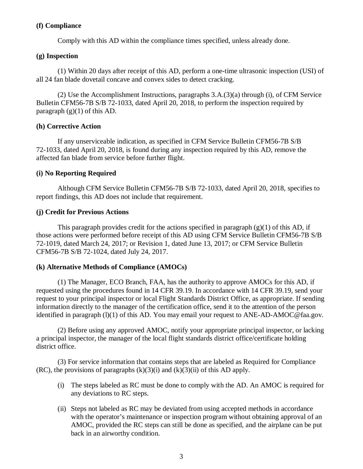## **(f) Compliance**

Comply with this AD within the compliance times specified, unless already done.

## **(g) Inspection**

(1) Within 20 days after receipt of this AD, perform a one-time ultrasonic inspection (USI) of all 24 fan blade dovetail concave and convex sides to detect cracking.

(2) Use the Accomplishment Instructions, paragraphs 3.A.(3)(a) through (i), of CFM Service Bulletin CFM56-7B S/B 72-1033, dated April 20, 2018, to perform the inspection required by paragraph  $(g)(1)$  of this AD.

## **(h) Corrective Action**

If any unserviceable indication, as specified in CFM Service Bulletin CFM56-7B S/B 72-1033, dated April 20, 2018, is found during any inspection required by this AD, remove the affected fan blade from service before further flight.

# **(i) No Reporting Required**

Although CFM Service Bulletin CFM56-7B S/B 72-1033, dated April 20, 2018, specifies to report findings, this AD does not include that requirement.

## **(j) Credit for Previous Actions**

This paragraph provides credit for the actions specified in paragraph  $(g)(1)$  of this AD, if those actions were performed before receipt of this AD using CFM Service Bulletin CFM56-7B S/B 72-1019, dated March 24, 2017; or Revision 1, dated June 13, 2017; or CFM Service Bulletin CFM56-7B S/B 72-1024, dated July 24, 2017.

# **(k) Alternative Methods of Compliance (AMOCs)**

(1) The Manager, ECO Branch, FAA, has the authority to approve AMOCs for this AD, if requested using the procedures found in 14 CFR 39.19. In accordance with 14 CFR 39.19, send your request to your principal inspector or local Flight Standards District Office, as appropriate. If sending information directly to the manager of the certification office, send it to the attention of the person identified in paragraph (l)(1) of this AD. You may email your request to ANE-AD-AMOC@faa.gov.

(2) Before using any approved AMOC, notify your appropriate principal inspector, or lacking a principal inspector, the manager of the local flight standards district office/certificate holding district office.

(3) For service information that contains steps that are labeled as Required for Compliance  $(RC)$ , the provisions of paragraphs  $(k)(3)(i)$  and  $(k)(3)(ii)$  of this AD apply.

- (i) The steps labeled as RC must be done to comply with the AD. An AMOC is required for any deviations to RC steps.
- (ii) Steps not labeled as RC may be deviated from using accepted methods in accordance with the operator's maintenance or inspection program without obtaining approval of an AMOC, provided the RC steps can still be done as specified, and the airplane can be put back in an airworthy condition.